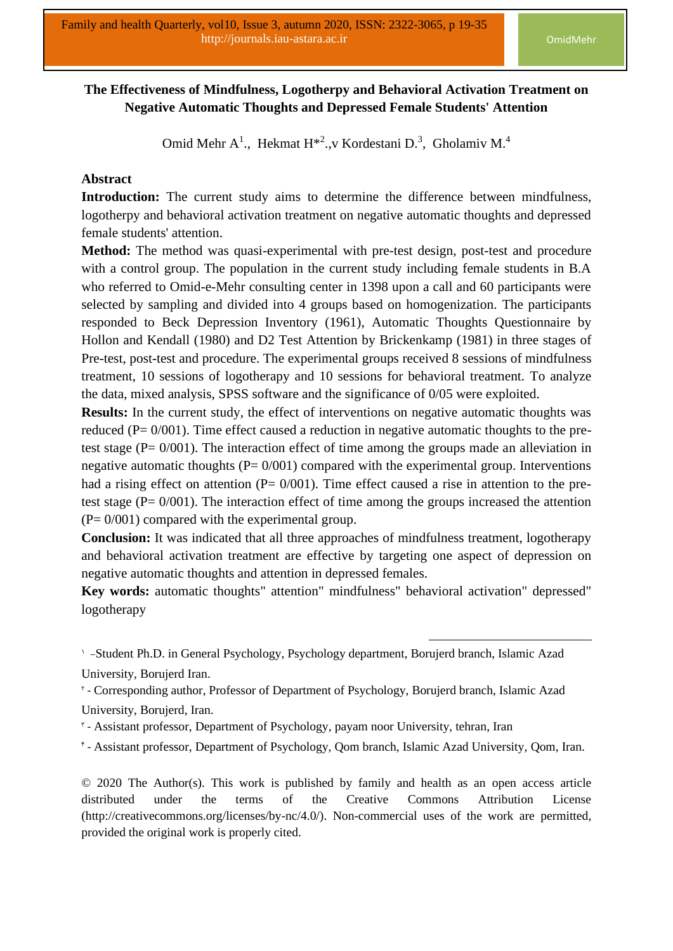# **The Effectiveness of Mindfulness, Logotherpy and Behavioral Activation Treatment on Negative Automatic Thoughts and Depressed Female Students' Attention**

Omid Mehr A<sup>1</sup>., Hekmat H<sup>\*2</sup>., v Kordestani D.<sup>3</sup>, Gholamiv M.<sup>4</sup>

## **Abstract**

**Introduction:** The current study aims to determine the difference between mindfulness, logotherpy and behavioral activation treatment on negative automatic thoughts and depressed female students' attention.

**Method:** The method was quasi-experimental with pre-test design, post-test and procedure with a control group. The population in the current study including female students in B.A who referred to Omid-e-Mehr consulting center in 1398 upon a call and 60 participants were selected by sampling and divided into 4 groups based on homogenization. The participants responded to Beck Depression Inventory (1961), Automatic Thoughts Questionnaire by Hollon and Kendall (1980) and D2 Test Attention by Brickenkamp (1981) in three stages of Pre-test, post-test and procedure. The experimental groups received 8 sessions of mindfulness treatment, 10 sessions of logotherapy and 10 sessions for behavioral treatment. To analyze the data, mixed analysis, SPSS software and the significance of 0/05 were exploited.

**Results:** In the current study, the effect of interventions on negative automatic thoughts was reduced (P= 0/001). Time effect caused a reduction in negative automatic thoughts to the pretest stage ( $P = 0/001$ ). The interaction effect of time among the groups made an alleviation in negative automatic thoughts  $(P= 0/001)$  compared with the experimental group. Interventions had a rising effect on attention  $(P= 0/001)$ . Time effect caused a rise in attention to the pretest stage ( $P = 0/001$ ). The interaction effect of time among the groups increased the attention  $(P= 0/001)$  compared with the experimental group.

**Conclusion:** It was indicated that all three approaches of mindfulness treatment, logotherapy and behavioral activation treatment are effective by targeting one aspect of depression on negative automatic thoughts and attention in depressed females.

**Key words:** automatic thoughts" attention" mindfulness" behavioral activation" depressed" logotherapy

- \* Assistant professor, Department of Psychology, payam noor University, tehran, Iran
- 4 Assistant professor, Department of Psychology, Qom branch, Islamic Azad University, Qom, Iran.

© 2020 The Author(s). This work is published by family and health as an open access article distributed under the terms of the Creative Commons Attribution License (http://creativecommons.org/licenses/by-nc/4.0/). Non-commercial uses of the work are permitted, provided the original work is properly cited.

<sup>1</sup> -Student Ph.D. in General Psychology, Psychology department, Borujerd branch, Islamic Azad University, Borujerd Iran.

<sup>&</sup>lt;sup>r</sup> - Corresponding author, Professor of Department of Psychology, Borujerd branch, Islamic Azad University, Borujerd, Iran.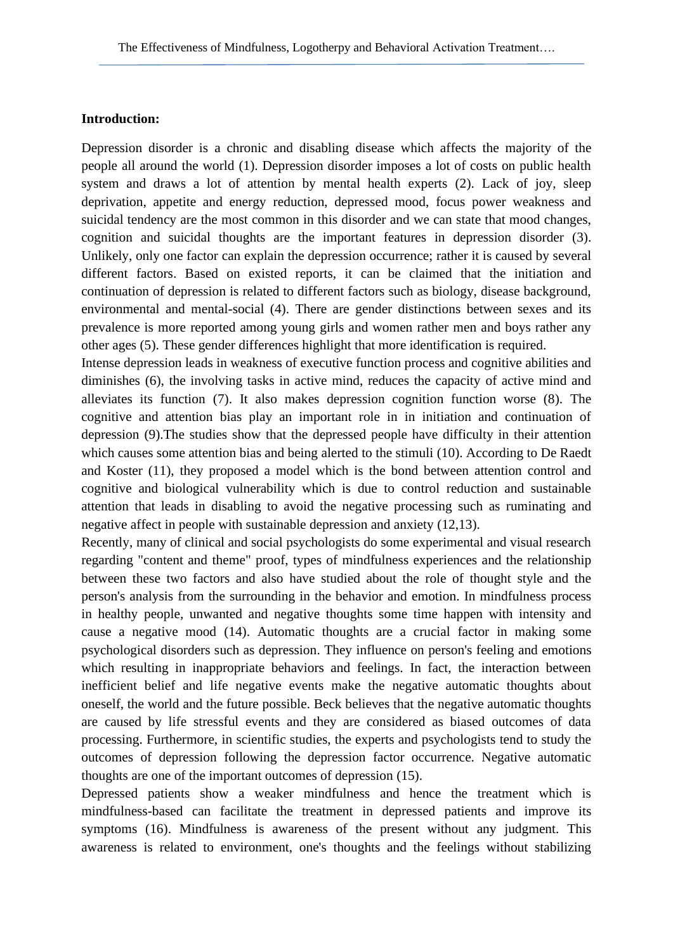# **Introduction:**

Depression disorder is a chronic and disabling disease which affects the majority of the people all around the world (1). Depression disorder imposes a lot of costs on public health system and draws a lot of attention by mental health experts (2). Lack of joy, sleep deprivation, appetite and energy reduction, depressed mood, focus power weakness and suicidal tendency are the most common in this disorder and we can state that mood changes, cognition and suicidal thoughts are the important features in depression disorder (3). Unlikely, only one factor can explain the depression occurrence; rather it is caused by several different factors. Based on existed reports, it can be claimed that the initiation and continuation of depression is related to different factors such as biology, disease background, environmental and mental-social (4). There are gender distinctions between sexes and its prevalence is more reported among young girls and women rather men and boys rather any other ages (5). These gender differences highlight that more identification is required.

Intense depression leads in weakness of executive function process and cognitive abilities and diminishes (6), the involving tasks in active mind, reduces the capacity of active mind and alleviates its function (7). It also makes depression cognition function worse (8). The cognitive and attention bias play an important role in in initiation and continuation of depression (9).The studies show that the depressed people have difficulty in their attention which causes some attention bias and being alerted to the stimuli (10). According to De Raedt and Koster (11), they proposed a model which is the bond between attention control and cognitive and biological vulnerability which is due to control reduction and sustainable attention that leads in disabling to avoid the negative processing such as ruminating and negative affect in people with sustainable depression and anxiety (12,13).

Recently, many of clinical and social psychologists do some experimental and visual research regarding "content and theme" proof, types of mindfulness experiences and the relationship between these two factors and also have studied about the role of thought style and the person's analysis from the surrounding in the behavior and emotion. In mindfulness process in healthy people, unwanted and negative thoughts some time happen with intensity and cause a negative mood (14). Automatic thoughts are a crucial factor in making some psychological disorders such as depression. They influence on person's feeling and emotions which resulting in inappropriate behaviors and feelings. In fact, the interaction between inefficient belief and life negative events make the negative automatic thoughts about oneself, the world and the future possible. Beck believes that the negative automatic thoughts are caused by life stressful events and they are considered as biased outcomes of data processing. Furthermore, in scientific studies, the experts and psychologists tend to study the outcomes of depression following the depression factor occurrence. Negative automatic thoughts are one of the important outcomes of depression (15).

Depressed patients show a weaker mindfulness and hence the treatment which is mindfulness-based can facilitate the treatment in depressed patients and improve its symptoms (16). Mindfulness is awareness of the present without any judgment. This awareness is related to environment, one's thoughts and the feelings without stabilizing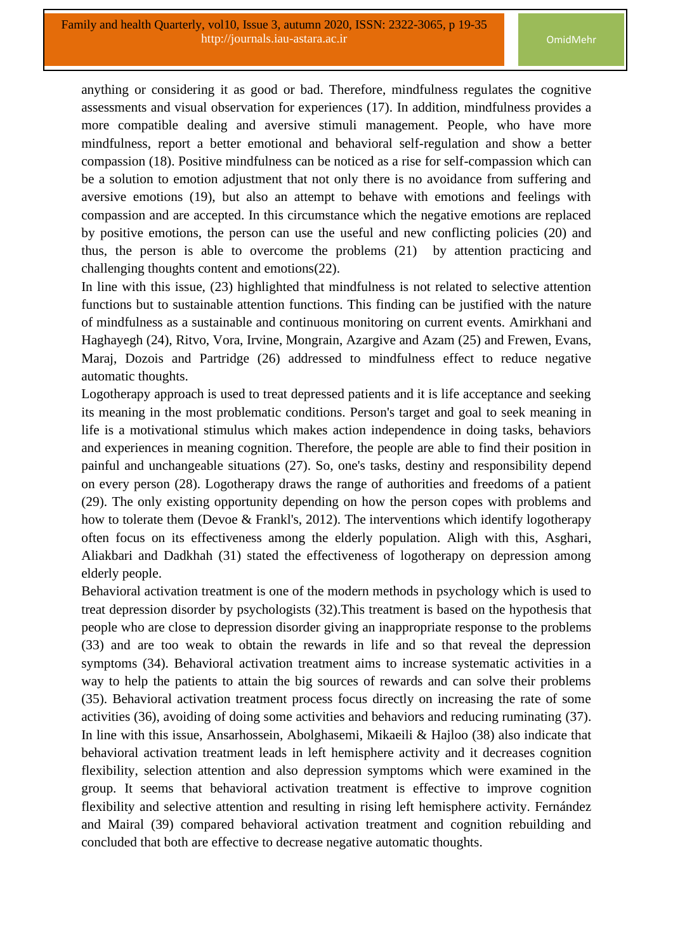anything or considering it as good or bad. Therefore, mindfulness regulates the cognitive assessments and visual observation for experiences (17). In addition, mindfulness provides a more compatible dealing and aversive stimuli management. People, who have more mindfulness, report a better emotional and behavioral self-regulation and show a better compassion (18). Positive mindfulness can be noticed as a rise for self-compassion which can be a solution to emotion adjustment that not only there is no avoidance from suffering and aversive emotions (19), but also an attempt to behave with emotions and feelings with compassion and are accepted. In this circumstance which the negative emotions are replaced by positive emotions, the person can use the useful and new conflicting policies (20) and thus, the person is able to overcome the problems (21) by attention practicing and challenging thoughts content and emotions(22).

In line with this issue, (23) highlighted that mindfulness is not related to selective attention functions but to sustainable attention functions. This finding can be justified with the nature of mindfulness as a sustainable and continuous monitoring on current events. Amirkhani and Haghayegh (24), Ritvo, Vora, Irvine, Mongrain, Azargive and Azam (25) and Frewen, Evans, Maraj, Dozois and Partridge (26) addressed to mindfulness effect to reduce negative automatic thoughts.

Logotherapy approach is used to treat depressed patients and it is life acceptance and seeking its meaning in the most problematic conditions. Person's target and goal to seek meaning in life is a motivational stimulus which makes action independence in doing tasks, behaviors and experiences in meaning cognition. Therefore, the people are able to find their position in painful and unchangeable situations (27). So, one's tasks, destiny and responsibility depend on every person (28). Logotherapy draws the range of authorities and freedoms of a patient (29). The only existing opportunity depending on how the person copes with problems and how to tolerate them (Devoe & Frankl's, 2012). The interventions which identify logotherapy often focus on its effectiveness among the elderly population. Aligh with this, Asghari, Aliakbari and Dadkhah (31) stated the effectiveness of logotherapy on depression among elderly people.

Behavioral activation treatment is one of the modern methods in psychology which is used to treat depression disorder by psychologists (32).This treatment is based on the hypothesis that people who are close to depression disorder giving an inappropriate response to the problems (33) and are too weak to obtain the rewards in life and so that reveal the depression symptoms (34). Behavioral activation treatment aims to increase systematic activities in a way to help the patients to attain the big sources of rewards and can solve their problems (35). Behavioral activation treatment process focus directly on increasing the rate of some activities (36), avoiding of doing some activities and behaviors and reducing ruminating (37). In line with this issue, Ansarhossein, Abolghasemi, Mikaeili & Hajloo (38) also indicate that behavioral activation treatment leads in left hemisphere activity and it decreases cognition flexibility, selection attention and also depression symptoms which were examined in the group. It seems that behavioral activation treatment is effective to improve cognition flexibility and selective attention and resulting in rising left hemisphere activity. Fernández and Mairal (39) compared behavioral activation treatment and cognition rebuilding and concluded that both are effective to decrease negative automatic thoughts.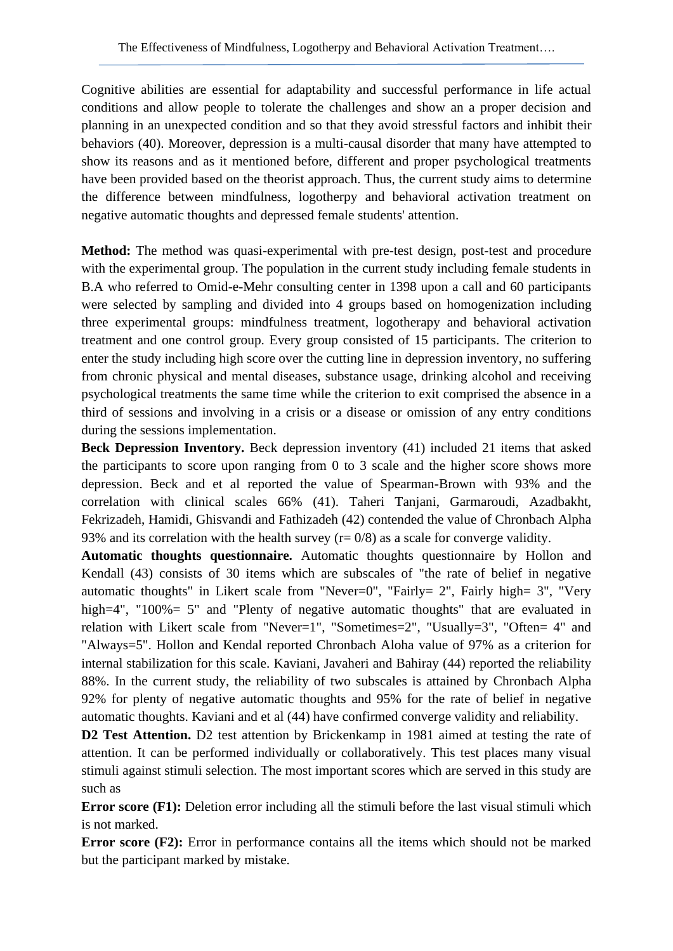Cognitive abilities are essential for adaptability and successful performance in life actual conditions and allow people to tolerate the challenges and show an a proper decision and planning in an unexpected condition and so that they avoid stressful factors and inhibit their behaviors (40). Moreover, depression is a multi-causal disorder that many have attempted to show its reasons and as it mentioned before, different and proper psychological treatments have been provided based on the theorist approach. Thus, the current study aims to determine the difference between mindfulness, logotherpy and behavioral activation treatment on negative automatic thoughts and depressed female students' attention.

**Method:** The method was quasi-experimental with pre-test design, post-test and procedure with the experimental group. The population in the current study including female students in B.A who referred to Omid-e-Mehr consulting center in 1398 upon a call and 60 participants were selected by sampling and divided into 4 groups based on homogenization including three experimental groups: mindfulness treatment, logotherapy and behavioral activation treatment and one control group. Every group consisted of 15 participants. The criterion to enter the study including high score over the cutting line in depression inventory, no suffering from chronic physical and mental diseases, substance usage, drinking alcohol and receiving psychological treatments the same time while the criterion to exit comprised the absence in a third of sessions and involving in a crisis or a disease or omission of any entry conditions during the sessions implementation.

**Beck Depression Inventory.** Beck depression inventory (41) included 21 items that asked the participants to score upon ranging from 0 to 3 scale and the higher score shows more depression. Beck and et al reported the value of Spearman-Brown with 93% and the correlation with clinical scales 66% (41). Taheri Tanjani, Garmaroudi, Azadbakht, Fekrizadeh, Hamidi, Ghisvandi and Fathizadeh (42) contended the value of Chronbach Alpha 93% and its correlation with the health survey  $(r= 0/8)$  as a scale for converge validity.

**Automatic thoughts questionnaire.** Automatic thoughts questionnaire by Hollon and Kendall (43) consists of 30 items which are subscales of "the rate of belief in negative automatic thoughts" in Likert scale from "Never=0", "Fairly= 2", Fairly high= 3", "Very high=4", "100%= 5" and "Plenty of negative automatic thoughts" that are evaluated in relation with Likert scale from "Never=1", "Sometimes=2", "Usually=3", "Often= 4" and "Always=5". Hollon and Kendal reported Chronbach Aloha value of 97% as a criterion for internal stabilization for this scale. Kaviani, Javaheri and Bahiray (44) reported the reliability 88%. In the current study, the reliability of two subscales is attained by Chronbach Alpha 92% for plenty of negative automatic thoughts and 95% for the rate of belief in negative automatic thoughts. Kaviani and et al (44) have confirmed converge validity and reliability.

**D2 Test Attention.** D2 test attention by Brickenkamp in 1981 aimed at testing the rate of attention. It can be performed individually or collaboratively. This test places many visual stimuli against stimuli selection. The most important scores which are served in this study are such as

**Error score** (F1): Deletion error including all the stimuli before the last visual stimuli which is not marked.

**Error score (F2):** Error in performance contains all the items which should not be marked but the participant marked by mistake.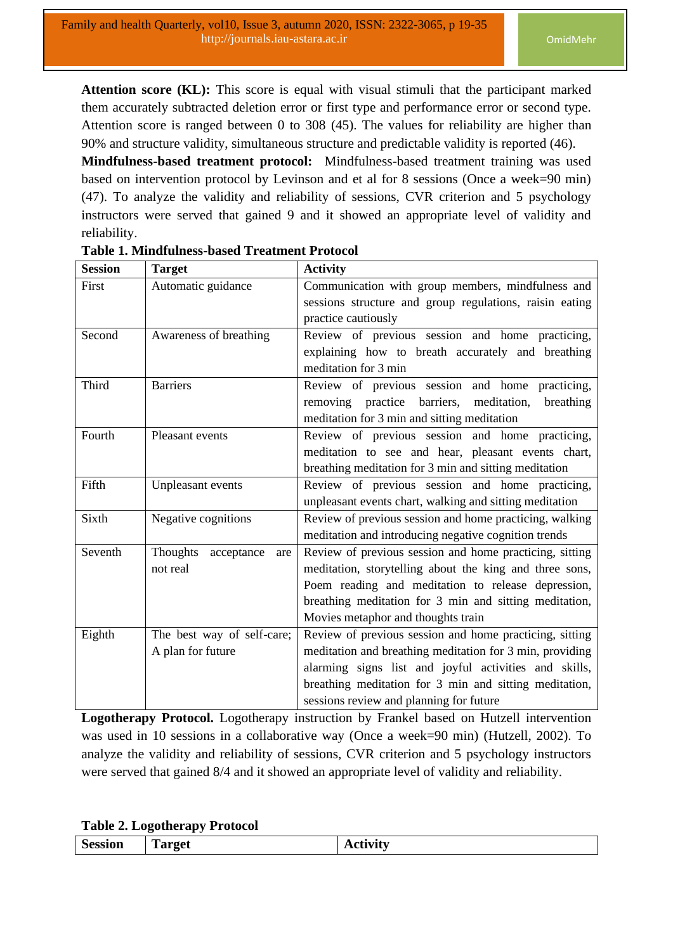**Attention score (KL):** This score is equal with visual stimuli that the participant marked them accurately subtracted deletion error or first type and performance error or second type. Attention score is ranged between 0 to 308 (45). The values for reliability are higher than 90% and structure validity, simultaneous structure and predictable validity is reported (46).

**Mindfulness-based treatment protocol:** Mindfulness-based treatment training was used based on intervention protocol by Levinson and et al for 8 sessions (Once a week=90 min) (47). To analyze the validity and reliability of sessions, CVR criterion and 5 psychology instructors were served that gained 9 and it showed an appropriate level of validity and reliability.

| <b>Session</b> | <b>Target</b>                 | <b>Activity</b>                                          |  |  |  |  |  |
|----------------|-------------------------------|----------------------------------------------------------|--|--|--|--|--|
| First          | Automatic guidance            | Communication with group members, mindfulness and        |  |  |  |  |  |
|                |                               | sessions structure and group regulations, raisin eating  |  |  |  |  |  |
|                |                               | practice cautiously                                      |  |  |  |  |  |
| Second         | Awareness of breathing        | Review of previous session and home practicing,          |  |  |  |  |  |
|                |                               | explaining how to breath accurately and breathing        |  |  |  |  |  |
|                |                               | meditation for 3 min                                     |  |  |  |  |  |
| Third          | <b>Barriers</b>               | Review of previous session and home practicing,          |  |  |  |  |  |
|                |                               | removing practice barriers, meditation,<br>breathing     |  |  |  |  |  |
|                |                               | meditation for 3 min and sitting meditation              |  |  |  |  |  |
| Fourth         | Pleasant events               | Review of previous session and home practicing,          |  |  |  |  |  |
|                |                               | meditation to see and hear, pleasant events chart,       |  |  |  |  |  |
|                |                               | breathing meditation for 3 min and sitting meditation    |  |  |  |  |  |
| Fifth          | Unpleasant events             | Review of previous session and home practicing,          |  |  |  |  |  |
|                |                               | unpleasant events chart, walking and sitting meditation  |  |  |  |  |  |
| Sixth          | Negative cognitions           | Review of previous session and home practicing, walking  |  |  |  |  |  |
|                |                               | meditation and introducing negative cognition trends     |  |  |  |  |  |
| Seventh        | Thoughts<br>acceptance<br>are | Review of previous session and home practicing, sitting  |  |  |  |  |  |
|                | not real                      | meditation, storytelling about the king and three sons,  |  |  |  |  |  |
|                |                               | Poem reading and meditation to release depression,       |  |  |  |  |  |
|                |                               | breathing meditation for 3 min and sitting meditation,   |  |  |  |  |  |
|                |                               | Movies metaphor and thoughts train                       |  |  |  |  |  |
| Eighth         | The best way of self-care;    | Review of previous session and home practicing, sitting  |  |  |  |  |  |
|                | A plan for future             | meditation and breathing meditation for 3 min, providing |  |  |  |  |  |
|                |                               | alarming signs list and joyful activities and skills,    |  |  |  |  |  |
|                |                               | breathing meditation for 3 min and sitting meditation,   |  |  |  |  |  |
|                |                               | sessions review and planning for future                  |  |  |  |  |  |

## **Table 1. Mindfulness-based Treatment Protocol**

**Logotherapy Protocol.** Logotherapy instruction by Frankel based on Hutzell intervention was used in 10 sessions in a collaborative way (Once a week=90 min) (Hutzell, 2002). To analyze the validity and reliability of sessions, CVR criterion and 5 psychology instructors were served that gained 8/4 and it showed an appropriate level of validity and reliability.

#### **Table 2. Logotherapy Protocol**

| $\epsilon$<br>$-0.0028 - 0.002$<br>------- | m<br>------<br>$ -$ | $- - - - -$ |
|--------------------------------------------|---------------------|-------------|
|--------------------------------------------|---------------------|-------------|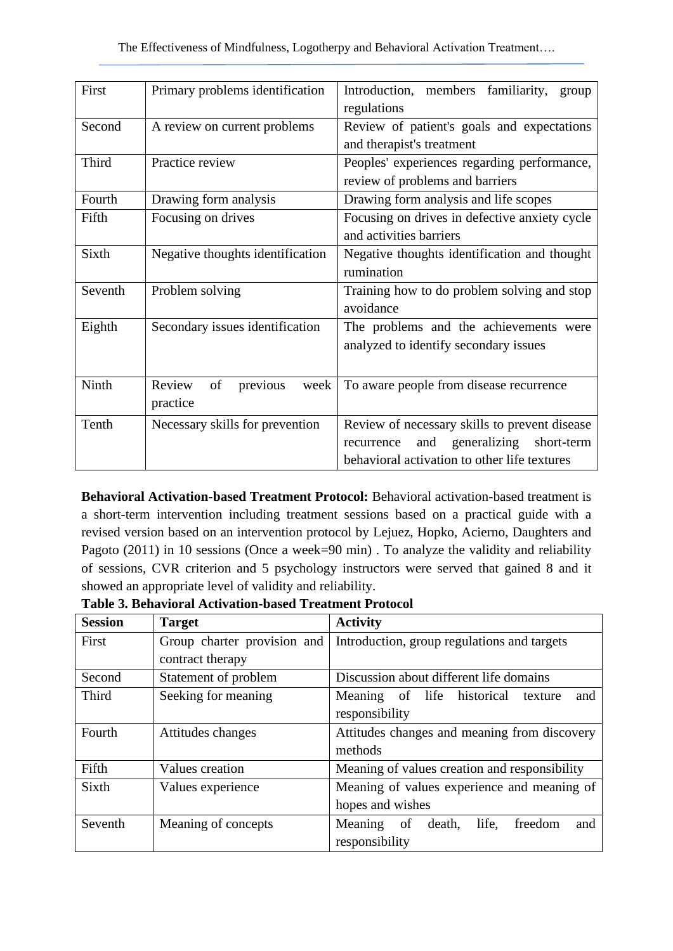| First   | Primary problems identification              | Introduction, members familiarity,<br>group<br>regulations                                                                                       |  |  |  |  |
|---------|----------------------------------------------|--------------------------------------------------------------------------------------------------------------------------------------------------|--|--|--|--|
| Second  | A review on current problems                 | Review of patient's goals and expectations<br>and therapist's treatment                                                                          |  |  |  |  |
| Third   | Practice review                              | Peoples' experiences regarding performance,<br>review of problems and barriers                                                                   |  |  |  |  |
| Fourth  | Drawing form analysis                        | Drawing form analysis and life scopes                                                                                                            |  |  |  |  |
| Fifth   | Focusing on drives                           | Focusing on drives in defective anxiety cycle<br>and activities barriers                                                                         |  |  |  |  |
| Sixth   | Negative thoughts identification             | Negative thoughts identification and thought<br>rumination                                                                                       |  |  |  |  |
| Seventh | Problem solving                              | Training how to do problem solving and stop<br>avoidance                                                                                         |  |  |  |  |
| Eighth  | Secondary issues identification              | The problems and the achievements were<br>analyzed to identify secondary issues                                                                  |  |  |  |  |
| Ninth   | Review<br>of<br>previous<br>week<br>practice | To aware people from disease recurrence                                                                                                          |  |  |  |  |
| Tenth   | Necessary skills for prevention              | Review of necessary skills to prevent disease<br>generalizing<br>and<br>short-term<br>recurrence<br>behavioral activation to other life textures |  |  |  |  |

**Behavioral Activation-based Treatment Protocol:** Behavioral activation-based treatment is a short-term intervention including treatment sessions based on a practical guide with a revised version based on an intervention protocol by Lejuez, Hopko, Acierno, Daughters and Pagoto (2011) in 10 sessions (Once a week=90 min). To analyze the validity and reliability of sessions, CVR criterion and 5 psychology instructors were served that gained 8 and it showed an appropriate level of validity and reliability.

**Table 3. Behavioral Activation-based Treatment Protocol** 

| <b>Session</b> | <b>Target</b>               | <b>Activity</b>                                 |  |  |  |  |  |  |  |
|----------------|-----------------------------|-------------------------------------------------|--|--|--|--|--|--|--|
| First          | Group charter provision and | Introduction, group regulations and targets     |  |  |  |  |  |  |  |
|                | contract therapy            |                                                 |  |  |  |  |  |  |  |
| Second         | Statement of problem        | Discussion about different life domains         |  |  |  |  |  |  |  |
| Third          | Seeking for meaning         | life historical<br>Meaning of<br>and<br>texture |  |  |  |  |  |  |  |
|                |                             | responsibility                                  |  |  |  |  |  |  |  |
| Fourth         | Attitudes changes           | Attitudes changes and meaning from discovery    |  |  |  |  |  |  |  |
|                |                             | methods                                         |  |  |  |  |  |  |  |
| Fifth          | Values creation             | Meaning of values creation and responsibility   |  |  |  |  |  |  |  |
| Sixth          | Values experience           | Meaning of values experience and meaning of     |  |  |  |  |  |  |  |
|                |                             | hopes and wishes                                |  |  |  |  |  |  |  |
| Seventh        | Meaning of concepts         | life,<br>Meaning of<br>death,<br>freedom<br>and |  |  |  |  |  |  |  |
|                |                             | responsibility                                  |  |  |  |  |  |  |  |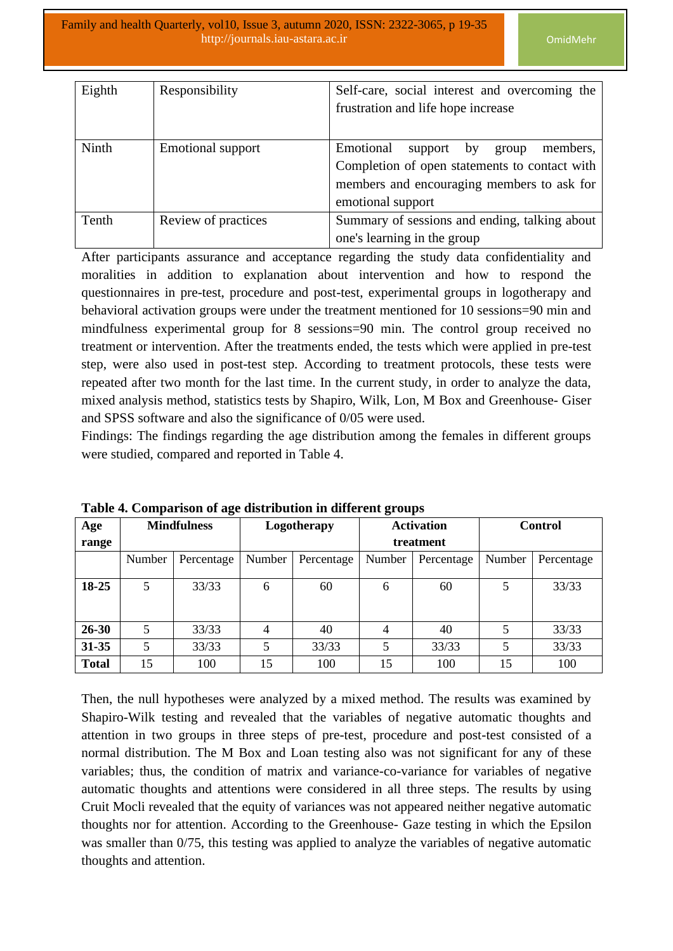| Eighth | Responsibility      | Self-care, social interest and overcoming the |  |  |  |  |  |  |
|--------|---------------------|-----------------------------------------------|--|--|--|--|--|--|
|        |                     | frustration and life hope increase            |  |  |  |  |  |  |
|        |                     |                                               |  |  |  |  |  |  |
| Ninth  | Emotional support   | Emotional<br>members,<br>support by<br>group  |  |  |  |  |  |  |
|        |                     | Completion of open statements to contact with |  |  |  |  |  |  |
|        |                     | members and encouraging members to ask for    |  |  |  |  |  |  |
|        |                     | emotional support                             |  |  |  |  |  |  |
| Tenth  | Review of practices | Summary of sessions and ending, talking about |  |  |  |  |  |  |
|        |                     | one's learning in the group                   |  |  |  |  |  |  |

After participants assurance and acceptance regarding the study data confidentiality and moralities in addition to explanation about intervention and how to respond the questionnaires in pre-test, procedure and post-test, experimental groups in logotherapy and behavioral activation groups were under the treatment mentioned for 10 sessions=90 min and mindfulness experimental group for 8 sessions=90 min. The control group received no treatment or intervention. After the treatments ended, the tests which were applied in pre-test step, were also used in post-test step. According to treatment protocols, these tests were repeated after two month for the last time. In the current study, in order to analyze the data, mixed analysis method, statistics tests by Shapiro, Wilk, Lon, M Box and Greenhouse- Giser and SPSS software and also the significance of 0/05 were used.

Findings: The findings regarding the age distribution among the females in different groups were studied, compared and reported in Table 4.

| Age          |        | <b>Mindfulness</b> |        | Logotherapy | <b>Activation</b> |            | <b>Control</b> |            |
|--------------|--------|--------------------|--------|-------------|-------------------|------------|----------------|------------|
| range        |        |                    |        |             |                   | treatment  |                |            |
|              | Number | Percentage         | Number | Percentage  | Number            | Percentage | Number         | Percentage |
|              |        |                    |        |             |                   |            |                |            |
| $18 - 25$    | 5      | 33/33              | 6      | 60          | 6                 | 60         |                | 33/33      |
| $26 - 30$    | 5      | 33/33              | 4      | 40          | 4                 | 40         |                | 33/33      |
| $31 - 35$    | 5      | 33/33              |        | 33/33       | 5                 | 33/33      |                | 33/33      |
| <b>Total</b> | 15     | 100                | 15     | 100         | 15                | 100        | 15             | 100        |

**Table 4. Comparison of age distribution in different groups** 

Then, the null hypotheses were analyzed by a mixed method. The results was examined by Shapiro-Wilk testing and revealed that the variables of negative automatic thoughts and attention in two groups in three steps of pre-test, procedure and post-test consisted of a normal distribution. The M Box and Loan testing also was not significant for any of these variables; thus, the condition of matrix and variance-co-variance for variables of negative automatic thoughts and attentions were considered in all three steps. The results by using Cruit Mocli revealed that the equity of variances was not appeared neither negative automatic thoughts nor for attention. According to the Greenhouse- Gaze testing in which the Epsilon was smaller than  $0/75$ , this testing was applied to analyze the variables of negative automatic thoughts and attention.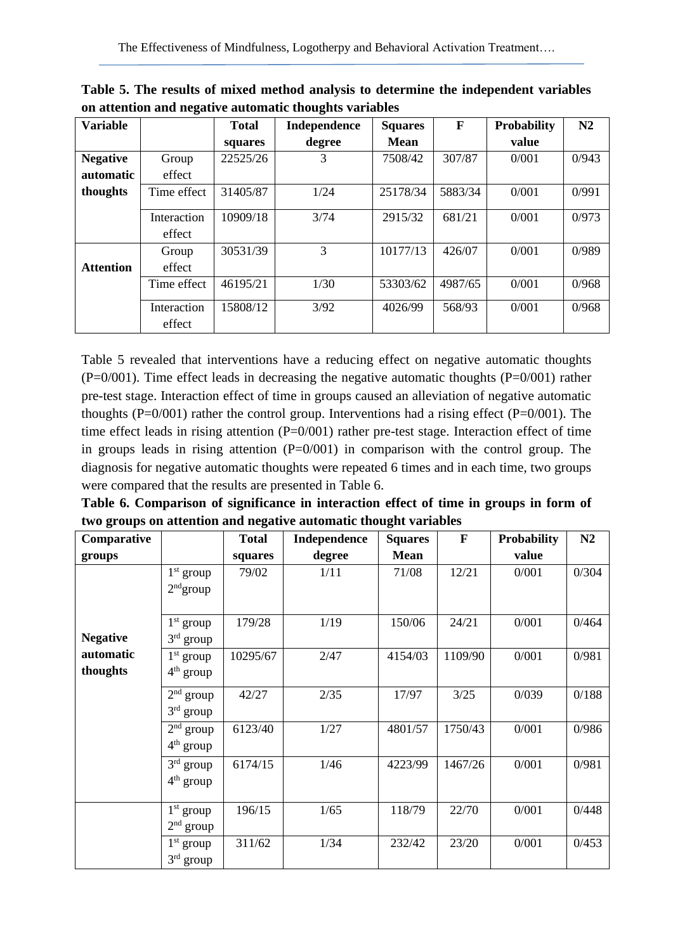| <b>Variable</b>  |                       | <b>Total</b> | <b>Independence</b> | <b>Squares</b> | F       | <b>Probability</b> | N2    |
|------------------|-----------------------|--------------|---------------------|----------------|---------|--------------------|-------|
|                  |                       | squares      | degree              | <b>Mean</b>    |         | value              |       |
| <b>Negative</b>  | Group                 | 22525/26     | 3                   | 7508/42        | 307/87  | 0/001              | 0/943 |
| <b>automatic</b> | effect                |              |                     |                |         |                    |       |
| thoughts         | Time effect           | 31405/87     | 1/24                | 25178/34       | 5883/34 | 0/001              | 0/991 |
|                  | Interaction<br>effect | 10909/18     | 3/74                | 2915/32        | 681/21  | 0/001              | 0/973 |
| <b>Attention</b> | Group<br>effect       | 30531/39     | 3                   | 10177/13       | 426/07  | 0/001              | 0/989 |
|                  | Time effect           | 46195/21     | 1/30                | 53303/62       | 4987/65 | 0/001              | 0/968 |
|                  | Interaction           | 15808/12     | 3/92                | 4026/99        | 568/93  | 0/001              | 0/968 |
|                  | effect                |              |                     |                |         |                    |       |

**Table 5. The results of mixed method analysis to determine the independent variables on attention and negative automatic thoughts variables**

Table 5 revealed that interventions have a reducing effect on negative automatic thoughts  $(P=0/001)$ . Time effect leads in decreasing the negative automatic thoughts  $(P=0/001)$  rather pre-test stage. Interaction effect of time in groups caused an alleviation of negative automatic thoughts (P=0/001) rather the control group. Interventions had a rising effect (P=0/001). The time effect leads in rising attention  $(P=0/001)$  rather pre-test stage. Interaction effect of time in groups leads in rising attention  $(P=0/001)$  in comparison with the control group. The diagnosis for negative automatic thoughts were repeated 6 times and in each time, two groups were compared that the results are presented in Table 6.

**Table 6. Comparison of significance in interaction effect of time in groups in form of two groups on attention and negative automatic thought variables**

| Comparative           |                            | <b>Total</b> | Independence | <b>Squares</b> | $\mathbf{F}$ | <b>Probability</b> | N2    |
|-----------------------|----------------------------|--------------|--------------|----------------|--------------|--------------------|-------|
| groups                |                            | squares      | degree       | <b>Mean</b>    |              | value              |       |
|                       | $1st$ group<br>$2nd$ group | 79/02        | 1/11         | 71/08          | 12/21        | 0/001              | 0/304 |
| <b>Negative</b>       | $1st$ group<br>$3rd$ group | 179/28       | 1/19         | 150/06         | 24/21        | 0/001              | 0/464 |
| automatic<br>thoughts | $1st$ group<br>$4th$ group | 10295/67     | 2/47         | 4154/03        | 1109/90      | 0/001              | 0/981 |
|                       | $2nd$ group<br>$3rd$ group | 42/27        | 2/35         | 17/97          | 3/25         | 0/039              | 0/188 |
|                       | $2nd$ group<br>$4th$ group | 6123/40      | 1/27         | 4801/57        | 1750/43      | 0/001              | 0/986 |
|                       | $3rd$ group<br>$4th$ group | 6174/15      | 1/46         | 4223/99        | 1467/26      | 0/001              | 0/981 |
|                       | $1st$ group<br>$2nd$ group | 196/15       | 1/65         | 118/79         | 22/70        | 0/001              | 0/448 |
|                       | $1st$ group<br>$3rd$ group | 311/62       | 1/34         | 232/42         | 23/20        | 0/001              | 0/453 |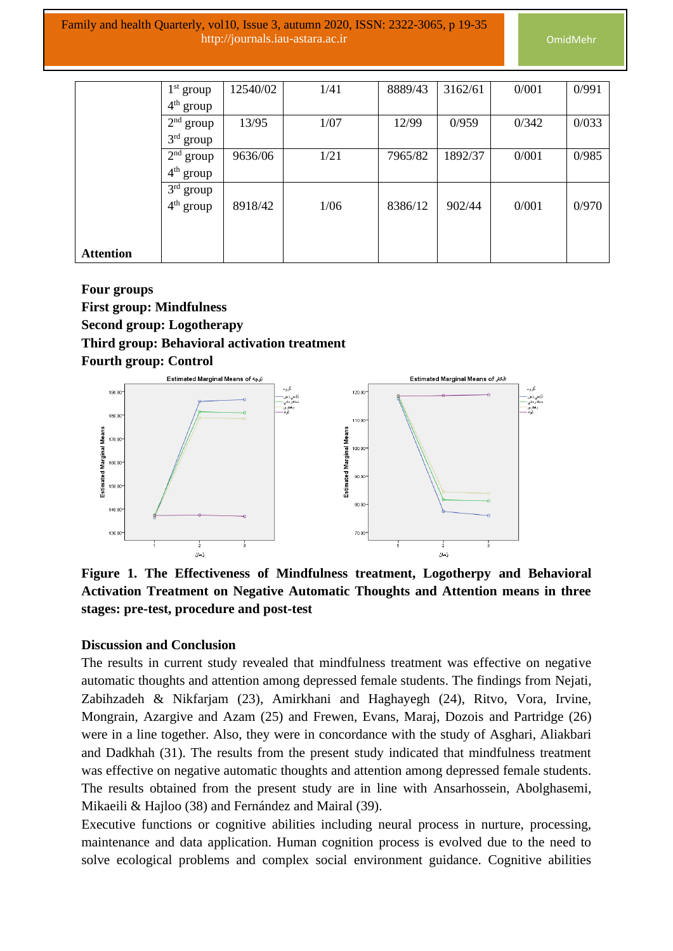|                  | $1st$ group | 12540/02 | 1/41 | 8889/43 | 3162/61 | 0/001 | 0/991 |
|------------------|-------------|----------|------|---------|---------|-------|-------|
|                  | $4th$ group |          |      |         |         |       |       |
|                  | $2nd$ group | 13/95    | 1/07 | 12/99   | 0/959   | 0/342 | 0/033 |
|                  | $3rd$ group |          |      |         |         |       |       |
|                  | $2nd$ group | 9636/06  | 1/21 | 7965/82 | 1892/37 | 0/001 | 0/985 |
|                  | $4th$ group |          |      |         |         |       |       |
|                  | $3rd$ group |          |      |         |         |       |       |
|                  | $4th$ group | 8918/42  | 1/06 | 8386/12 | 902/44  | 0/001 | 0/970 |
|                  |             |          |      |         |         |       |       |
|                  |             |          |      |         |         |       |       |
| <b>Attention</b> |             |          |      |         |         |       |       |

# **Four groups First group: Mindfulness Second group: Logotherapy**

### **Third group: Behavioral activation treatment**





**Figure 1. The Effectiveness of Mindfulness treatment, Logotherpy and Behavioral Activation Treatment on Negative Automatic Thoughts and Attention means in three stages: pre-test, procedure and post-test** 

#### **Discussion and Conclusion**

The results in current study revealed that mindfulness treatment was effective on negative automatic thoughts and attention among depressed female students. The findings from Nejati, Zabihzadeh & Nikfarjam (23), Amirkhani and Haghayegh (24), Ritvo, Vora, Irvine, Mongrain, Azargive and Azam (25) and Frewen, Evans, Maraj, Dozois and Partridge (26) were in a line together. Also, they were in concordance with the study of Asghari, Aliakbari and Dadkhah (31). The results from the present study indicated that mindfulness treatment was effective on negative automatic thoughts and attention among depressed female students. The results obtained from the present study are in line with Ansarhossein, Abolghasemi, Mikaeili & Hajloo (38) and Fernández and Mairal (39).

Executive functions or cognitive abilities including neural process in nurture, processing, maintenance and data application. Human cognition process is evolved due to the need to solve ecological problems and complex social environment guidance. Cognitive abilities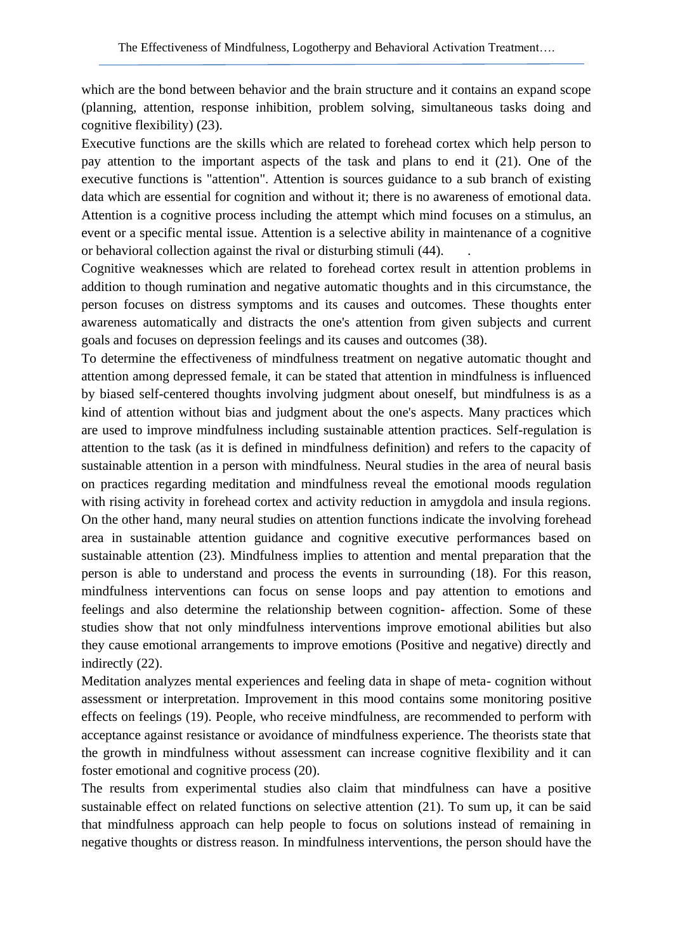which are the bond between behavior and the brain structure and it contains an expand scope (planning, attention, response inhibition, problem solving, simultaneous tasks doing and cognitive flexibility) (23).

Executive functions are the skills which are related to forehead cortex which help person to pay attention to the important aspects of the task and plans to end it (21). One of the executive functions is "attention". Attention is sources guidance to a sub branch of existing data which are essential for cognition and without it; there is no awareness of emotional data. Attention is a cognitive process including the attempt which mind focuses on a stimulus, an event or a specific mental issue. Attention is a selective ability in maintenance of a cognitive or behavioral collection against the rival or disturbing stimuli (44). .

Cognitive weaknesses which are related to forehead cortex result in attention problems in addition to though rumination and negative automatic thoughts and in this circumstance, the person focuses on distress symptoms and its causes and outcomes. These thoughts enter awareness automatically and distracts the one's attention from given subjects and current goals and focuses on depression feelings and its causes and outcomes (38).

To determine the effectiveness of mindfulness treatment on negative automatic thought and attention among depressed female, it can be stated that attention in mindfulness is influenced by biased self-centered thoughts involving judgment about oneself, but mindfulness is as a kind of attention without bias and judgment about the one's aspects. Many practices which are used to improve mindfulness including sustainable attention practices. Self-regulation is attention to the task (as it is defined in mindfulness definition) and refers to the capacity of sustainable attention in a person with mindfulness. Neural studies in the area of neural basis on practices regarding meditation and mindfulness reveal the emotional moods regulation with rising activity in forehead cortex and activity reduction in amygdola and insula regions. On the other hand, many neural studies on attention functions indicate the involving forehead area in sustainable attention guidance and cognitive executive performances based on sustainable attention (23). Mindfulness implies to attention and mental preparation that the person is able to understand and process the events in surrounding (18). For this reason, mindfulness interventions can focus on sense loops and pay attention to emotions and feelings and also determine the relationship between cognition- affection. Some of these studies show that not only mindfulness interventions improve emotional abilities but also they cause emotional arrangements to improve emotions (Positive and negative) directly and indirectly (22).

Meditation analyzes mental experiences and feeling data in shape of meta- cognition without assessment or interpretation. Improvement in this mood contains some monitoring positive effects on feelings (19). People, who receive mindfulness, are recommended to perform with acceptance against resistance or avoidance of mindfulness experience. The theorists state that the growth in mindfulness without assessment can increase cognitive flexibility and it can foster emotional and cognitive process (20).

The results from experimental studies also claim that mindfulness can have a positive sustainable effect on related functions on selective attention (21). To sum up, it can be said that mindfulness approach can help people to focus on solutions instead of remaining in negative thoughts or distress reason. In mindfulness interventions, the person should have the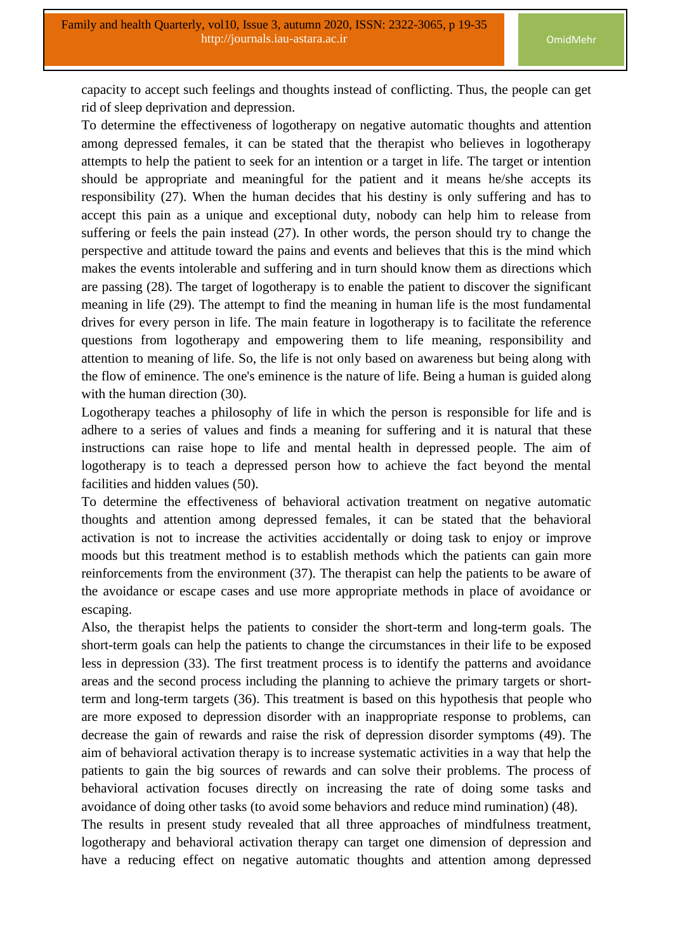capacity to accept such feelings and thoughts instead of conflicting. Thus, the people can get rid of sleep deprivation and depression.

To determine the effectiveness of logotherapy on negative automatic thoughts and attention among depressed females, it can be stated that the therapist who believes in logotherapy attempts to help the patient to seek for an intention or a target in life. The target or intention should be appropriate and meaningful for the patient and it means he/she accepts its responsibility (27). When the human decides that his destiny is only suffering and has to accept this pain as a unique and exceptional duty, nobody can help him to release from suffering or feels the pain instead (27). In other words, the person should try to change the perspective and attitude toward the pains and events and believes that this is the mind which makes the events intolerable and suffering and in turn should know them as directions which are passing (28). The target of logotherapy is to enable the patient to discover the significant meaning in life (29). The attempt to find the meaning in human life is the most fundamental drives for every person in life. The main feature in logotherapy is to facilitate the reference questions from logotherapy and empowering them to life meaning, responsibility and attention to meaning of life. So, the life is not only based on awareness but being along with the flow of eminence. The one's eminence is the nature of life. Being a human is guided along with the human direction (30).

Logotherapy teaches a philosophy of life in which the person is responsible for life and is adhere to a series of values and finds a meaning for suffering and it is natural that these instructions can raise hope to life and mental health in depressed people. The aim of logotherapy is to teach a depressed person how to achieve the fact beyond the mental facilities and hidden values (50).

To determine the effectiveness of behavioral activation treatment on negative automatic thoughts and attention among depressed females, it can be stated that the behavioral activation is not to increase the activities accidentally or doing task to enjoy or improve moods but this treatment method is to establish methods which the patients can gain more reinforcements from the environment (37). The therapist can help the patients to be aware of the avoidance or escape cases and use more appropriate methods in place of avoidance or escaping.

Also, the therapist helps the patients to consider the short-term and long-term goals. The short-term goals can help the patients to change the circumstances in their life to be exposed less in depression (33). The first treatment process is to identify the patterns and avoidance areas and the second process including the planning to achieve the primary targets or shortterm and long-term targets (36). This treatment is based on this hypothesis that people who are more exposed to depression disorder with an inappropriate response to problems, can decrease the gain of rewards and raise the risk of depression disorder symptoms (49). The aim of behavioral activation therapy is to increase systematic activities in a way that help the patients to gain the big sources of rewards and can solve their problems. The process of behavioral activation focuses directly on increasing the rate of doing some tasks and avoidance of doing other tasks (to avoid some behaviors and reduce mind rumination) (48).

The results in present study revealed that all three approaches of mindfulness treatment, logotherapy and behavioral activation therapy can target one dimension of depression and have a reducing effect on negative automatic thoughts and attention among depressed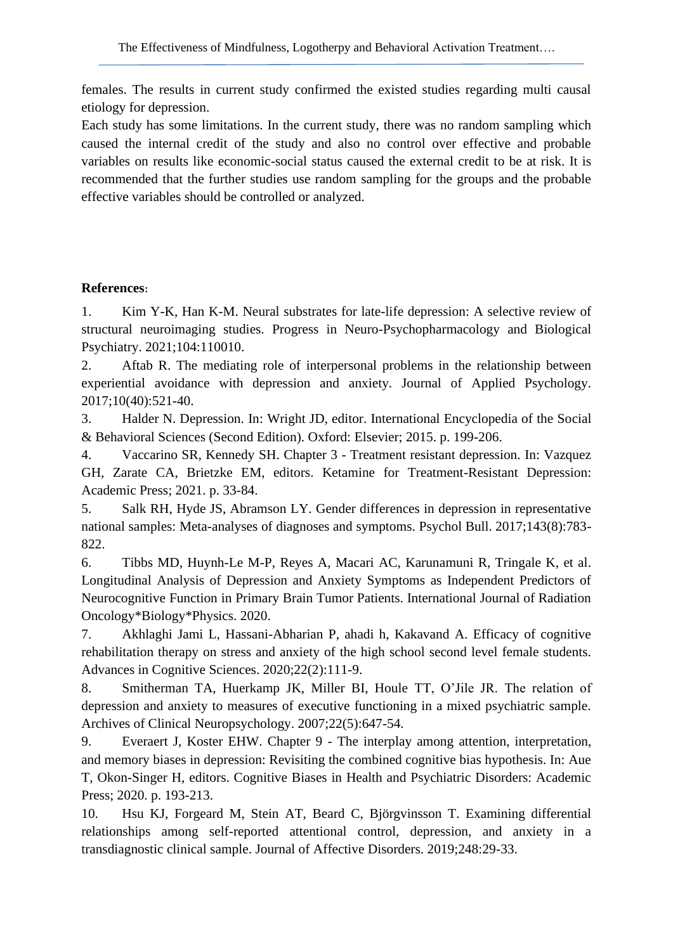females. The results in current study confirmed the existed studies regarding multi causal etiology for depression.

Each study has some limitations. In the current study, there was no random sampling which caused the internal credit of the study and also no control over effective and probable variables on results like economic-social status caused the external credit to be at risk. It is recommended that the further studies use random sampling for the groups and the probable effective variables should be controlled or analyzed.

# **References :**

1. Kim Y-K, Han K-M. Neural substrates for late-life depression: A selective review of structural neuroimaging studies. Progress in Neuro-Psychopharmacology and Biological Psychiatry. 2021;104:110010.

2. Aftab R. The mediating role of interpersonal problems in the relationship between experiential avoidance with depression and anxiety. Journal of Applied Psychology. 2017;10(40):521-40.

3. Halder N. Depression. In: Wright JD, editor. International Encyclopedia of the Social & Behavioral Sciences (Second Edition). Oxford: Elsevier; 2015. p. 199-206.

4. Vaccarino SR, Kennedy SH. Chapter 3 - Treatment resistant depression. In: Vazquez GH, Zarate CA, Brietzke EM, editors. Ketamine for Treatment-Resistant Depression: Academic Press; 2021. p. 33-84.

5. Salk RH, Hyde JS, Abramson LY. Gender differences in depression in representative national samples: Meta-analyses of diagnoses and symptoms. Psychol Bull. 2017;143(8):783- 822.

6. Tibbs MD, Huynh-Le M-P, Reyes A, Macari AC, Karunamuni R, Tringale K, et al. Longitudinal Analysis of Depression and Anxiety Symptoms as Independent Predictors of Neurocognitive Function in Primary Brain Tumor Patients. International Journal of Radiation Oncology\*Biology\*Physics. 2020.

7. Akhlaghi Jami L, Hassani-Abharian P, ahadi h, Kakavand A. Efficacy of cognitive rehabilitation therapy on stress and anxiety of the high school second level female students. Advances in Cognitive Sciences. 2020;22(2):111-9.

8. Smitherman TA, Huerkamp JK, Miller BI, Houle TT, O'Jile JR. The relation of depression and anxiety to measures of executive functioning in a mixed psychiatric sample. Archives of Clinical Neuropsychology. 2007;22(5):647-54.

9. Everaert J, Koster EHW. Chapter 9 - The interplay among attention, interpretation, and memory biases in depression: Revisiting the combined cognitive bias hypothesis. In: Aue T, Okon-Singer H, editors. Cognitive Biases in Health and Psychiatric Disorders: Academic Press; 2020. p. 193-213.

10. Hsu KJ, Forgeard M, Stein AT, Beard C, Björgvinsson T. Examining differential relationships among self-reported attentional control, depression, and anxiety in a transdiagnostic clinical sample. Journal of Affective Disorders. 2019;248:29-33.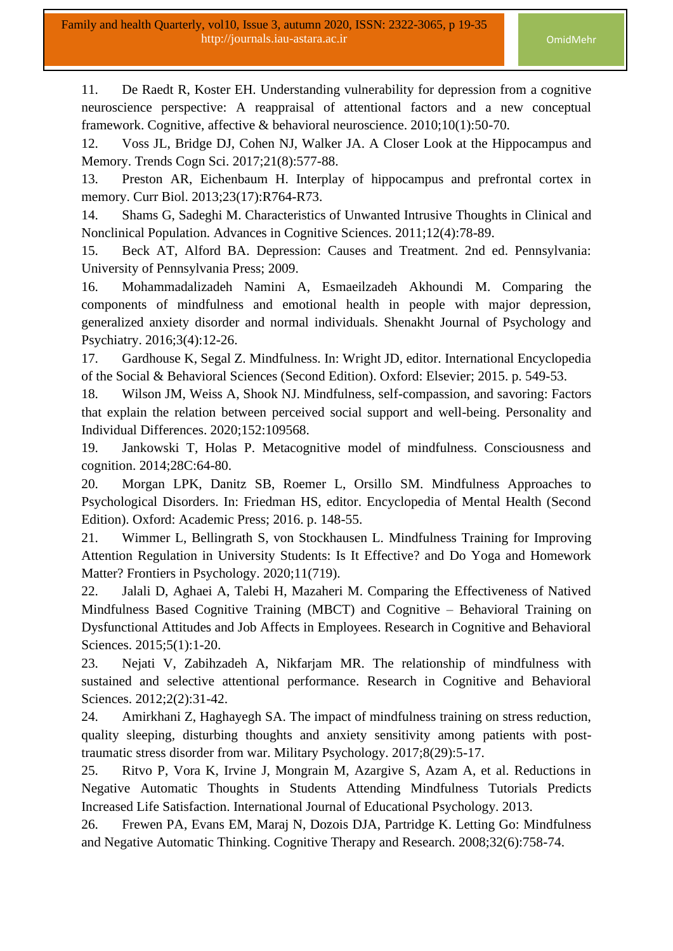11. De Raedt R, Koster EH. Understanding vulnerability for depression from a cognitive neuroscience perspective: A reappraisal of attentional factors and a new conceptual framework. Cognitive, affective & behavioral neuroscience. 2010;10(1):50-70.

12. Voss JL, Bridge DJ, Cohen NJ, Walker JA. A Closer Look at the Hippocampus and Memory. Trends Cogn Sci. 2017;21(8):577-88.

13. Preston AR, Eichenbaum H. Interplay of hippocampus and prefrontal cortex in memory. Curr Biol. 2013;23(17):R764-R73.

14. Shams G, Sadeghi M. Characteristics of Unwanted Intrusive Thoughts in Clinical and Nonclinical Population. Advances in Cognitive Sciences. 2011;12(4):78-89.

15. Beck AT, Alford BA. Depression: Causes and Treatment. 2nd ed. Pennsylvania: University of Pennsylvania Press; 2009.

16. Mohammadalizadeh Namini A, Esmaeilzadeh Akhoundi M. Comparing the components of mindfulness and emotional health in people with major depression, generalized anxiety disorder and normal individuals. Shenakht Journal of Psychology and Psychiatry. 2016;3(4):12-26.

17. Gardhouse K, Segal Z. Mindfulness. In: Wright JD, editor. International Encyclopedia of the Social & Behavioral Sciences (Second Edition). Oxford: Elsevier; 2015. p. 549-53.

18. Wilson JM, Weiss A, Shook NJ. Mindfulness, self-compassion, and savoring: Factors that explain the relation between perceived social support and well-being. Personality and Individual Differences. 2020;152:109568.

19. Jankowski T, Holas P. Metacognitive model of mindfulness. Consciousness and cognition. 2014;28C:64-80.

20. Morgan LPK, Danitz SB, Roemer L, Orsillo SM. Mindfulness Approaches to Psychological Disorders. In: Friedman HS, editor. Encyclopedia of Mental Health (Second Edition). Oxford: Academic Press; 2016. p. 148-55.

21. Wimmer L, Bellingrath S, von Stockhausen L. Mindfulness Training for Improving Attention Regulation in University Students: Is It Effective? and Do Yoga and Homework Matter? Frontiers in Psychology. 2020;11(719).

22. Jalali D, Aghaei A, Talebi H, Mazaheri M. Comparing the Effectiveness of Natived Mindfulness Based Cognitive Training (MBCT) and Cognitive – Behavioral Training on Dysfunctional Attitudes and Job Affects in Employees. Research in Cognitive and Behavioral Sciences. 2015;5(1):1-20.

23. Nejati V, Zabihzadeh A, Nikfarjam MR. The relationship of mindfulness with sustained and selective attentional performance. Research in Cognitive and Behavioral Sciences. 2012;2(2):31-42.

24. Amirkhani Z, Haghayegh SA. The impact of mindfulness training on stress reduction, quality sleeping, disturbing thoughts and anxiety sensitivity among patients with posttraumatic stress disorder from war. Military Psychology. 2017;8(29):5-17.

25. Ritvo P, Vora K, Irvine J, Mongrain M, Azargive S, Azam A, et al. Reductions in Negative Automatic Thoughts in Students Attending Mindfulness Tutorials Predicts Increased Life Satisfaction. International Journal of Educational Psychology. 2013.

26. Frewen PA, Evans EM, Maraj N, Dozois DJA, Partridge K. Letting Go: Mindfulness and Negative Automatic Thinking. Cognitive Therapy and Research. 2008;32(6):758-74.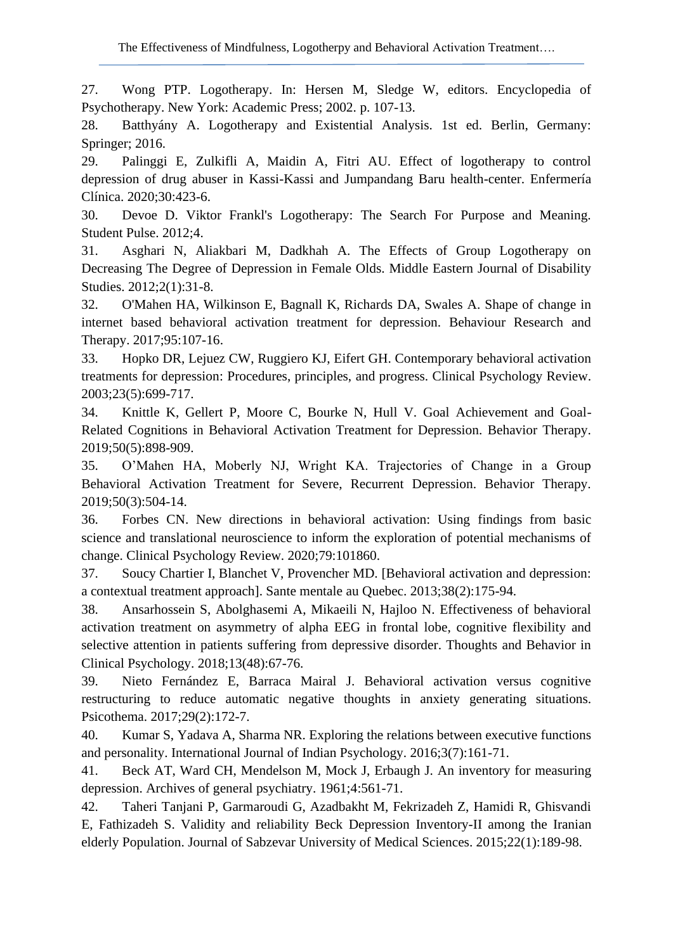27. Wong PTP. Logotherapy. In: Hersen M, Sledge W, editors. Encyclopedia of Psychotherapy. New York: Academic Press; 2002. p. 107-13.

28. Batthyány A. Logotherapy and Existential Analysis. 1st ed. Berlin, Germany: Springer; 2016.

29. Palinggi E, Zulkifli A, Maidin A, Fitri AU. Effect of logotherapy to control depression of drug abuser in Kassi-Kassi and Jumpandang Baru health-center. Enfermería Clínica. 2020;30:423-6.

30. Devoe D. Viktor Frankl's Logotherapy: The Search For Purpose and Meaning. Student Pulse. 2012;4.

31. Asghari N, Aliakbari M, Dadkhah A. The Effects of Group Logotherapy on Decreasing The Degree of Depression in Female Olds. Middle Eastern Journal of Disability Studies. 2012;2(1):31-8.

32. O'Mahen HA, Wilkinson E, Bagnall K, Richards DA, Swales A. Shape of change in internet based behavioral activation treatment for depression. Behaviour Research and Therapy. 2017;95:107-16.

33. Hopko DR, Lejuez CW, Ruggiero KJ, Eifert GH. Contemporary behavioral activation treatments for depression: Procedures, principles, and progress. Clinical Psychology Review. 2003;23(5):699-717.

34. Knittle K, Gellert P, Moore C, Bourke N, Hull V. Goal Achievement and Goal-Related Cognitions in Behavioral Activation Treatment for Depression. Behavior Therapy. 2019;50(5):898-909.

35. O'Mahen HA, Moberly NJ, Wright KA. Trajectories of Change in a Group Behavioral Activation Treatment for Severe, Recurrent Depression. Behavior Therapy. 2019;50(3):504-14.

36. Forbes CN. New directions in behavioral activation: Using findings from basic science and translational neuroscience to inform the exploration of potential mechanisms of change. Clinical Psychology Review. 2020;79:101860.

37. Soucy Chartier I, Blanchet V, Provencher MD. [Behavioral activation and depression: a contextual treatment approach]. Sante mentale au Quebec. 2013;38(2):175-94.

38. Ansarhossein S, Abolghasemi A, Mikaeili N, Hajloo N. Effectiveness of behavioral activation treatment on asymmetry of alpha EEG in frontal lobe, cognitive flexibility and selective attention in patients suffering from depressive disorder. Thoughts and Behavior in Clinical Psychology. 2018;13(48):67-76.

39. Nieto Fernández E, Barraca Mairal J. Behavioral activation versus cognitive restructuring to reduce automatic negative thoughts in anxiety generating situations. Psicothema. 2017;29(2):172-7.

40. Kumar S, Yadava A, Sharma NR. Exploring the relations between executive functions and personality. International Journal of Indian Psychology. 2016;3(7):161-71.

41. Beck AT, Ward CH, Mendelson M, Mock J, Erbaugh J. An inventory for measuring depression. Archives of general psychiatry. 1961;4:561-71.

42. Taheri Tanjani P, Garmaroudi G, Azadbakht M, Fekrizadeh Z, Hamidi R, Ghisvandi E, Fathizadeh S. Validity and reliability Beck Depression Inventory-II among the Iranian elderly Population. Journal of Sabzevar University of Medical Sciences. 2015;22(1):189-98.